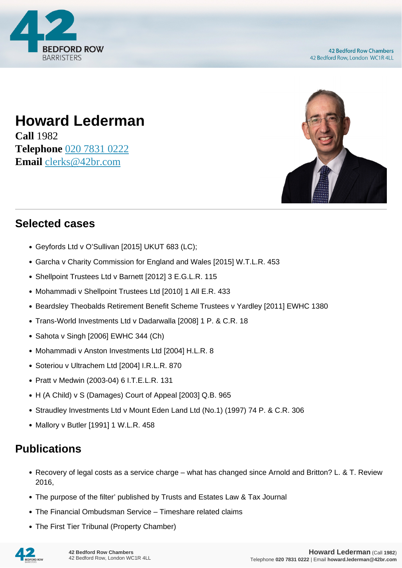

## **Howard Lederman**

**Call** 1982 **Telephone** [020 7831 0222](https://pdf.codeshore.co/_42br/tel:020 7831 0222) **Email** [clerks@42br.com](mailto:clerks@42br.com)



## **Selected cases**

- Geyfords Ltd v O'Sullivan [2015] UKUT 683 (LC);
- Garcha v Charity Commission for England and Wales [2015] W.T.L.R. 453
- Shellpoint Trustees Ltd v Barnett [2012] 3 E.G.L.R. 115
- Mohammadi v Shellpoint Trustees Ltd [2010] 1 All E.R. 433
- Beardsley Theobalds Retirement Benefit Scheme Trustees v Yardley [2011] EWHC 1380
- Trans-World Investments Ltd v Dadarwalla [2008] 1 P. & C.R. 18
- Sahota v Singh [2006] EWHC 344 (Ch)
- Mohammadi v Anston Investments Ltd [2004] H.L.R. 8
- Soteriou v Ultrachem Ltd [2004] I.R.L.R. 870
- Pratt v Medwin (2003-04) 6 I.T.E.L.R. 131
- H (A Child) v S (Damages) Court of Appeal [2003] Q.B. 965
- Straudley Investments Ltd v Mount Eden Land Ltd (No.1) (1997) 74 P. & C.R. 306
- Mallory v Butler [1991] 1 W.L.R. 458

## **Publications**

- Recovery of legal costs as a service charge what has changed since Arnold and Britton? L. & T. Review 2016,
- The purpose of the filter' published by Trusts and Estates Law & Tax Journal
- The Financial Ombudsman Service Timeshare related claims
- The First Tier Tribunal (Property Chamber)